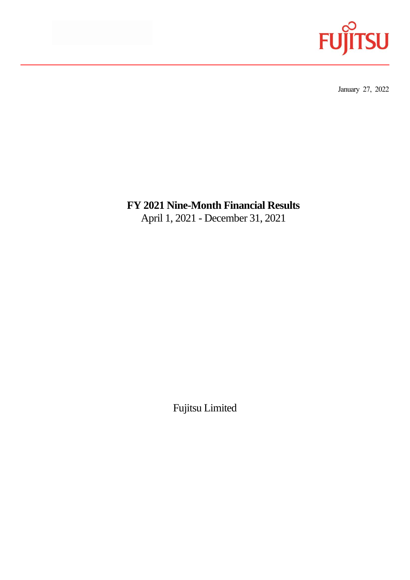

January 27, 2022

# **FY 2021 Nine-Month Financial Results** April 1, 2021 - December 31, 2021

Fujitsu Limited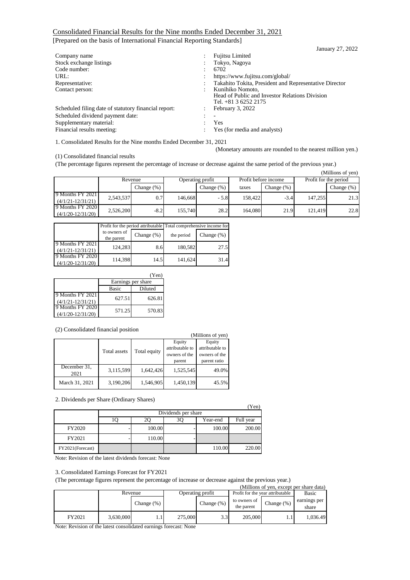#### Consolidated Financial Results for the Nine months Ended December 31, 2021

[Prepared on the basis of International Financial Reporting Standards]

| January 27, 2022                                       |
|--------------------------------------------------------|
| <b>Fujitsu Limited</b>                                 |
| Tokyo, Nagoya                                          |
| 6702                                                   |
| https://www.fujitsu.com/global/                        |
| Takahito Tokita, President and Representative Director |
| Kunihiko Nomoto,                                       |
| Head of Public and Investor Relations Division         |
| Tel. +81 3 6252 2175                                   |
| February 3, 2022                                       |
| ۰                                                      |
| <b>Yes</b>                                             |
| Yes (for media and analysts)                           |
|                                                        |

1. Consolidated Results for the Nine months Ended December 31, 2021

(Monetary amounts are rounded to the nearest million yen.)

(1) Consolidated financial results

(The percentage figures represent the percentage of increase or decrease against the same period of the previous year.)

|                                           |           |               |                  |               |                      |               |                       | (Millions of yen) |
|-------------------------------------------|-----------|---------------|------------------|---------------|----------------------|---------------|-----------------------|-------------------|
|                                           |           | Revenue       | Operating profit |               | Profit before income |               | Profit for the period |                   |
|                                           |           | Change $(\%)$ |                  | Change $(\%)$ | taxes                | Change $(\%)$ |                       | Change (%)        |
| 9 Months FY 2021<br>$(4/1/21 - 12/31/21)$ | 2,543,537 | 0.7           | 146.668          | $-5.8$        | 158,422              | $-3.4$        | 147.255               | 21.3              |
| 9 Months FY 2020<br>$(4/1/20-12/31/20)$   | 2,526,200 | $-8.2$        | 155.740          | 28.2          | 164.080              | 21.9          | 121.419               | 22.8              |

 $(ML)$ lions of  $y$ 

|                                           |                            |               | Profit for the period attributable Total comprehensive income for |               |  |
|-------------------------------------------|----------------------------|---------------|-------------------------------------------------------------------|---------------|--|
|                                           | to owners of<br>the parent | Change $(\%)$ | the period                                                        | Change $(\%)$ |  |
| 9 Months FY 2021<br>$(4/1/21 - 12/31/21)$ | 124,283                    | 8.6           | 180,582                                                           | 27.5          |  |
| 9 Months FY 2020<br>$(4/1/20-12/31/20)$   | 114,398                    | 14.5          | 141,624                                                           | 31.4          |  |

|                                           |        | (Yen)              |
|-------------------------------------------|--------|--------------------|
|                                           |        | Earnings per share |
|                                           | Basic  | Diluted            |
| 9 Months FY 2021<br>$(4/1/21 - 12/31/21)$ | 627.51 | 626.81             |
| 9 Months FY 2020                          | 571.25 | 570.83             |
| $(4/1/20 - 12/31/20)$                     |        |                    |

(2) Consolidated financial position

| (TVITHIOITS OF YELL) |              |              |                 |                 |  |
|----------------------|--------------|--------------|-----------------|-----------------|--|
|                      |              |              | Equity          | Equity          |  |
|                      | Total assets | Total equity | attributable to | attributable to |  |
|                      |              |              | owners of the   | owners of the   |  |
|                      |              |              | parent          | parent ratio    |  |
| December 31,<br>2021 | 3,115,599    | 1,642,426    | 1,525,545       | 49.0%           |  |
| March 31, 2021       | 3,190,206    | 1,546,905    | 1,450,139       | 45.5%           |  |

2. Dividends per Share (Ordinary Shares)

|                  |        |                     |          | (Yen)     |
|------------------|--------|---------------------|----------|-----------|
|                  |        | Dividends per share |          |           |
|                  |        |                     | Year-end | Full year |
| FY2020           | 100.00 |                     | 100.00   | 200.00    |
| FY2021           | 110.00 |                     |          |           |
| FY2021(Forecast) |        |                     | 110.00   | 220.00    |

Note: Revision of the latest dividends forecast: None

#### 3. Consolidated Earnings Forecast for FY2021

(The percentage figures represent the percentage of increase or decrease against the previous year.)

(Millions of yen, except per share data)

|        |           | Revenue       | Operating profit |               | Profit for the year attributable |               | Basic                 |
|--------|-----------|---------------|------------------|---------------|----------------------------------|---------------|-----------------------|
|        |           | Change $(\%)$ |                  | Change $(\%)$ | to owners of<br>the parent       | Change $(\%)$ | earnings per<br>share |
| FY2021 | 3,630,000 | .             | 275,000          | 3.3           | 205,000                          | 1.1           | 1,036.49              |

Note: Revision of the latest consolidated earnings forecast: None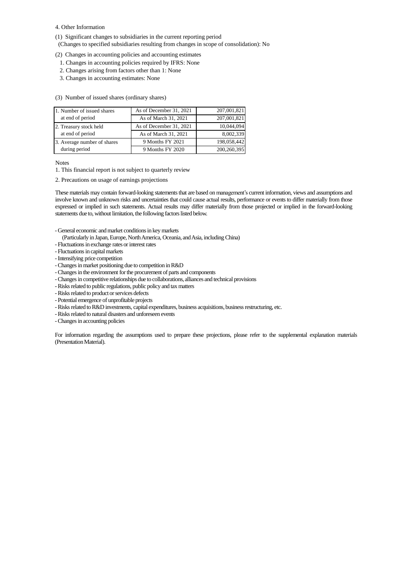4. Other Information

(1) Significant changes to subsidiaries in the current reporting period

- (Changes to specified subsidiaries resulting from changes in scope of consolidation): No
- (2) Changes in accounting policies and accounting estimates
	- 1. Changes in accounting policies required by IFRS: None
	- 2. Changes arising from factors other than 1: None
	- 3. Changes in accounting estimates: None

| 1. Number of issued shares  | As of December 31, 2021 | 207,001,821 |  |  |
|-----------------------------|-------------------------|-------------|--|--|
| at end of period            | As of March 31, 2021    | 207,001,821 |  |  |
| 2. Treasury stock held      | As of December 31, 2021 | 10,044,094  |  |  |
| at end of period            | As of March 31, 2021    | 8,002,339   |  |  |
| 3. Average number of shares | 9 Months FY 2021        | 198,058,442 |  |  |
| during period               | 9 Months FY 2020        | 200,260,395 |  |  |

Notes

1. This financial report is not subject to quarterly review

2. Precautions on usage of earnings projections

These materials may contain forward-looking statements that are based on management's current information, views and assumptions and involve known and unknown risks and uncertainties that could cause actual results, performance or events to differ materially from those expressed or implied in such statements. Actual results may differ materially from those projected or implied in the forward-looking statements due to, without limitation, the following factors listed below.

- General economic and market conditions in key markets

- (Particularly in Japan,Europe,NorthAmerica, Oceania, andAsia, including China)
- Fluctuations in exchange rates or interest rates
- Fluctuations in capital markets
- -Intensifying price competition
- Changes in market positioning due to competition in R&D
- Changes in the environment for the procurement of parts and components
- Changes in competitive relationships due to collaborations, alliances and technical provisions
- Risks related to public regulations, public policy and tax matters
- Risks related to product or services defects
- Potential emergence of unprofitable projects
- Risks related to R&D investments, capital expenditures, business acquisitions, business restructuring, etc.
- Risks related to natural disasters and unforeseen events

- Changes in accounting policies

For information regarding the assumptions used to prepare these projections, please refer to the supplemental explanation materials (Presentation Material).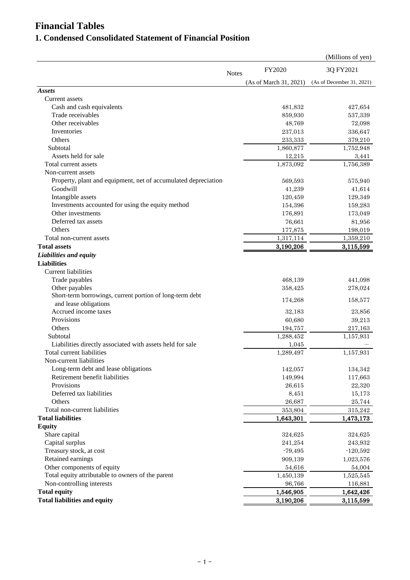## **Financial Tables**

## **1. Condensed Consolidated Statement of Financial Position**

|                                                                |                        | (Millions of yen)         |
|----------------------------------------------------------------|------------------------|---------------------------|
|                                                                | FY2020<br><b>Notes</b> | 3Q FY2021                 |
|                                                                | (As of March 31, 2021) | (As of December 31, 2021) |
| <i>Assets</i>                                                  |                        |                           |
| Current assets                                                 |                        |                           |
| Cash and cash equivalents                                      | 481,832                | 427,654                   |
| Trade receivables                                              | 859,930                | 537,339                   |
| Other receivables                                              | 48,769                 | 72,098                    |
| <b>Inventories</b>                                             | 237,013                | 336,647                   |
| Others                                                         | 233,333                | 379,210                   |
| Subtotal                                                       | 1,860,877              | 1,752,948                 |
| Assets held for sale                                           | 12,215                 | 3,441                     |
| Total current assets                                           | 1,873,092              | 1,756,389                 |
| Non-current assets                                             |                        |                           |
| Property, plant and equipment, net of accumulated depreciation | 569,593                | 575,940                   |
| Goodwill                                                       | 41,239                 | 41,614                    |
| Intangible assets                                              | 120,459                | 129,349                   |
| Investments accounted for using the equity method              | 154,396                | 159,283                   |
| Other investments                                              | 176,891                | 173,049                   |
| Deferred tax assets                                            | 76,661                 | 81,956                    |
| Others                                                         | 177,875                | 198,019                   |
| Total non-current assets                                       | 1,317,114              | 1,359,210                 |
| <b>Total assets</b>                                            | 3,190,206              | 3,115,599                 |
| Liabilities and equity                                         |                        |                           |
| <b>Liabilities</b>                                             |                        |                           |
| <b>Current liabilities</b>                                     |                        |                           |
| Trade payables                                                 | 468,139                | 441,098                   |
| Other payables                                                 | 358,425                | 278,024                   |
| Short-term borrowings, current portion of long-term debt       |                        |                           |
| and lease obligations                                          | 174,268                | 158,577                   |
| Accrued income taxes                                           | 32,183                 | 23,856                    |
| Provisions                                                     | 60,680                 | 39,213                    |
| <b>Others</b>                                                  | 194,757                | 217,163                   |
| Subtotal                                                       | 1,288,452              | 1,157,931                 |
| Liabilities directly associated with assets held for sale      | 1,045                  |                           |
| Total current liabilities                                      | 1,289,497              | 1,157,931                 |
| Non-current liabilities                                        |                        |                           |
| Long-term debt and lease obligations                           | 142,057                | 134,342                   |
| Retirement benefit liabilities                                 | 149,994                | 117,663                   |
| Provisions                                                     | 26,615                 | 22,320                    |
| Deferred tax liabilities                                       | 8,451                  | 15,173                    |
| Others                                                         | 26,687                 | 25,744                    |
| Total non-current liabilities                                  | 353,804                | 315,242                   |
| <b>Total liabilities</b>                                       | 1,643,301              | 1,473,173                 |
| <b>Equity</b>                                                  |                        |                           |
| Share capital                                                  | 324,625                | 324,625                   |
| Capital surplus                                                | 241,254                | 243,932                   |
| Treasury stock, at cost                                        | $-79,495$              | $-120,592$                |
| Retained earnings                                              | 909,139                | 1,023,576                 |
| Other components of equity                                     | 54,616                 | 54,004                    |
| Total equity attributable to owners of the parent              | 1,450,139              | 1,525,545                 |
| Non-controlling interests                                      | 96,766                 | 116,881                   |
| <b>Total equity</b>                                            | 1,546,905              | 1,642,426                 |
| <b>Total liabilities and equity</b>                            |                        |                           |
|                                                                | 3,190,206              | 3,115,599                 |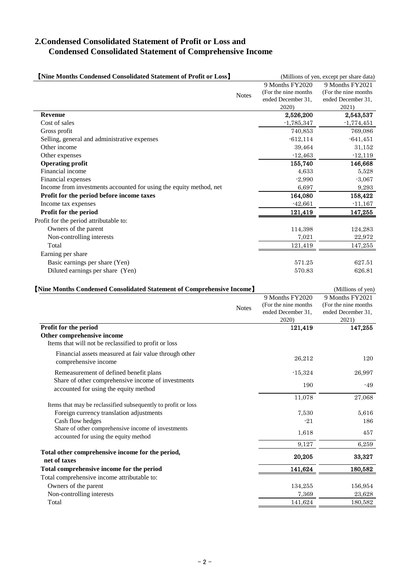### **2.Condensed Consolidated Statement of Profit or Loss and Condensed Consolidated Statement of Comprehensive Income**

| [Nine Months Condensed Consolidated Statement of Profit or Loss]                            |              |                                                                        | (Millions of yen, except per share data)                                                     |
|---------------------------------------------------------------------------------------------|--------------|------------------------------------------------------------------------|----------------------------------------------------------------------------------------------|
|                                                                                             |              | 9 Months FY2020                                                        | 9 Months FY2021                                                                              |
|                                                                                             | <b>Notes</b> | (For the nine months                                                   | (For the nine months)                                                                        |
|                                                                                             |              | ended December 31,                                                     | ended December 31,                                                                           |
|                                                                                             |              | 2020)                                                                  | 2021)                                                                                        |
| <b>Revenue</b>                                                                              |              | 2,526,200                                                              | 2,543,537                                                                                    |
| Cost of sales                                                                               |              | $-1,785,347$                                                           | $-1,774,451$                                                                                 |
| Gross profit                                                                                |              | 740,853                                                                | 769,086                                                                                      |
| Selling, general and administrative expenses                                                |              | $-612,114$                                                             | $-641,451$                                                                                   |
| Other income                                                                                |              | 39,464                                                                 | 31,152                                                                                       |
| Other expenses                                                                              |              | $-12,463$                                                              | $-12,119$                                                                                    |
| <b>Operating profit</b>                                                                     |              | 155,740                                                                | 146,668                                                                                      |
| Financial income                                                                            |              | 4,633                                                                  | 5,528                                                                                        |
| Financial expenses                                                                          |              | $-2,990$                                                               | $-3,067$                                                                                     |
| Income from investments accounted for using the equity method, net                          |              | 6,697                                                                  | 9,293                                                                                        |
| Profit for the period before income taxes                                                   |              | 164,080                                                                | 158,422                                                                                      |
| Income tax expenses                                                                         |              | $-42,661$                                                              | $-11,167$                                                                                    |
| Profit for the period                                                                       |              | 121,419                                                                | 147,255                                                                                      |
| Profit for the period attributable to:                                                      |              |                                                                        |                                                                                              |
| Owners of the parent                                                                        |              | 114,398                                                                | 124,283                                                                                      |
| Non-controlling interests                                                                   |              | 7,021                                                                  | 22,972                                                                                       |
| Total                                                                                       |              | 121,419                                                                | 147,255                                                                                      |
| Earning per share                                                                           |              |                                                                        |                                                                                              |
| Basic earnings per share (Yen)                                                              |              | 571.25                                                                 | 627.51                                                                                       |
| Diluted earnings per share (Yen)                                                            |              | 570.83                                                                 | 626.81                                                                                       |
| [Nine Months Condensed Consolidated Statement of Comprehensive Income]                      | <b>Notes</b> | 9 Months FY2020<br>(For the nine months<br>ended December 31,<br>2020) | (Millions of yen)<br>9 Months FY2021<br>(For the nine months)<br>ended December 31,<br>2021) |
| Profit for the period                                                                       |              | 121,419                                                                | 147,255                                                                                      |
| Other comprehensive income                                                                  |              |                                                                        |                                                                                              |
| Items that will not be reclassified to profit or loss                                       |              |                                                                        |                                                                                              |
| Financial assets measured at fair value through other                                       |              |                                                                        |                                                                                              |
| comprehensive income                                                                        |              | 26,212                                                                 | 120                                                                                          |
| Remeasurement of defined benefit plans                                                      |              | $-15,324$                                                              | 26,997                                                                                       |
| Share of other comprehensive income of investments<br>accounted for using the equity method |              | 190                                                                    | $-49$                                                                                        |
| Items that may be reclassified subsequently to profit or loss                               |              | 11,078                                                                 | 27,068                                                                                       |
| Foreign currency translation adjustments                                                    |              | 7,530                                                                  | 5,616                                                                                        |
| Cash flow hedges                                                                            |              | $-21$                                                                  | 186                                                                                          |
| Share of other comprehensive income of investments                                          |              |                                                                        |                                                                                              |
| accounted for using the equity method                                                       |              | 1,618                                                                  | 457                                                                                          |
|                                                                                             |              | 9,127                                                                  | 6,259                                                                                        |
| Total other comprehensive income for the period,<br>net of taxes                            |              | 20,205                                                                 | 33,327                                                                                       |
| Total comprehensive income for the period                                                   |              | 141,624                                                                | 180,582                                                                                      |
| Total comprehensive income attributable to:                                                 |              |                                                                        |                                                                                              |
| Owners of the parent                                                                        |              |                                                                        |                                                                                              |
|                                                                                             |              |                                                                        |                                                                                              |
|                                                                                             |              | 134,255                                                                | 156,954                                                                                      |
| Non-controlling interests<br>Total                                                          |              | 7,369<br>141,624                                                       | 23,628<br>180,582                                                                            |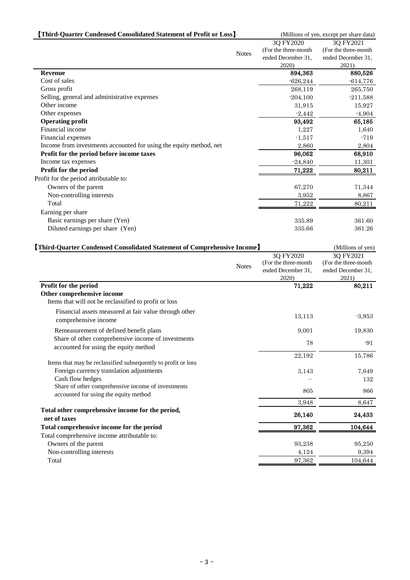| <b>[Third-Quarter Condensed Consolidated Statement of Profit or Loss]</b>                                    |              |                                                                  | (Millions of yen, except per share data)                         |
|--------------------------------------------------------------------------------------------------------------|--------------|------------------------------------------------------------------|------------------------------------------------------------------|
|                                                                                                              | <b>Notes</b> | 3Q FY2020<br>(For the three-month<br>ended December 31,<br>2020) | 3Q FY2021<br>(For the three-month<br>ended December 31,<br>2021) |
| <b>Revenue</b>                                                                                               |              | 894,363                                                          | 880,526                                                          |
| Cost of sales                                                                                                |              | $-626,244$                                                       | $-614,776$                                                       |
| Gross profit                                                                                                 |              | 268,119                                                          | 265,750                                                          |
| Selling, general and administrative expenses                                                                 |              | $-204,100$                                                       | $-211,588$                                                       |
| Other income                                                                                                 |              | 31,915                                                           | 15,927                                                           |
| Other expenses                                                                                               |              | $-2,442$                                                         | $-4,904$                                                         |
| <b>Operating profit</b>                                                                                      |              | 93,492                                                           | 65,185                                                           |
| Financial income                                                                                             |              | 1,227                                                            | 1,640                                                            |
| Financial expenses                                                                                           |              | $-1,517$                                                         | $-719$                                                           |
| Income from investments accounted for using the equity method, net                                           |              | 2,860                                                            | 2,804                                                            |
| Profit for the period before income taxes                                                                    |              | 96,062                                                           | 68,910                                                           |
| Income tax expenses                                                                                          |              | $-24,840$                                                        | 11,301                                                           |
| Profit for the period                                                                                        |              | 71,222                                                           | 80,211                                                           |
| Profit for the period attributable to:                                                                       |              |                                                                  |                                                                  |
| Owners of the parent                                                                                         |              | 67,270                                                           | 71,344                                                           |
| Non-controlling interests                                                                                    |              | 3,952                                                            | 8,867                                                            |
| Total                                                                                                        |              | 71,222                                                           | 80,211                                                           |
| Earning per share                                                                                            |              |                                                                  |                                                                  |
| Basic earnings per share (Yen)                                                                               |              | 335.89                                                           | 361.60                                                           |
| Diluted earnings per share (Yen)                                                                             |              | 335.66                                                           | 361.26                                                           |
| <b>[Third-Quarter Condensed Consolidated Statement of Comprehensive Income]</b>                              |              |                                                                  | (Millions of yen)                                                |
|                                                                                                              | <b>Notes</b> | 3Q FY2020<br>(For the three-month<br>ended December 31,<br>2020) | 3Q FY2021<br>(For the three-month<br>ended December 31,<br>2021) |
| Profit for the period<br>Other comprehensive income<br>Items that will not be reclassified to profit or loss |              | 71,222                                                           | 80,211                                                           |
| Financial assets measured at fair value through other<br>comprehensive income                                |              | 13,113                                                           | $-3,953$                                                         |
| Remeasurement of defined benefit plans<br>Share of other comprehensive income of investments                 |              | 9,001                                                            | 19,830                                                           |
| accounted for using the equity method                                                                        |              | 78                                                               | $-91$                                                            |
|                                                                                                              |              | 22,192                                                           | 15,786                                                           |
| Items that may be reclassified subsequently to profit or loss                                                |              |                                                                  |                                                                  |
| Foreign currency translation adjustments                                                                     |              | 3,143                                                            | 7,649                                                            |
| Cash flow hedges<br>Share of other comprehensive income of investments                                       |              | 805                                                              | 132<br>866                                                       |
| accounted for using the equity method                                                                        |              | 3,948                                                            | 8,647                                                            |
|                                                                                                              |              |                                                                  |                                                                  |

26,140 24,433 Total comprehensive income for the period and the set of the period of the period of the set of the period of the set of the period of the set of the set of the set of the set of the set of the set of the set of the set of Total comprehensive income attributable to: Owners of the parent 93,238 95,250 Non-controlling interests 4,124 9,394 Total 97,362 104,644 **Total other comprehensive income for the period, net of taxes**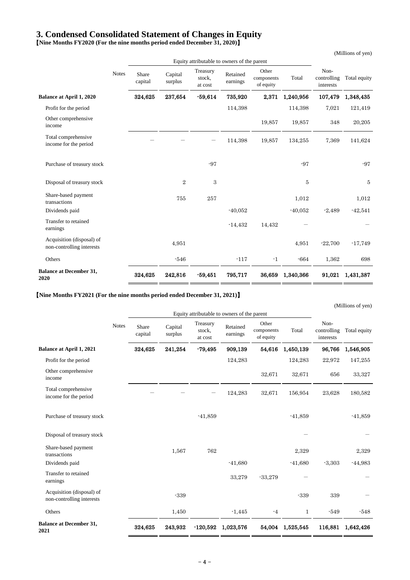#### **3. Condensed Consolidated Statement of Changes in Equity**

【**Nine Months FY2020 (For the nine months period ended December 31, 2020)**】

(Millions of yen)

|                                                        |              | Equity attributable to owners of the parent |                    |                               |                      |                                  |           |                                  |              |
|--------------------------------------------------------|--------------|---------------------------------------------|--------------------|-------------------------------|----------------------|----------------------------------|-----------|----------------------------------|--------------|
|                                                        | <b>Notes</b> | Share<br>capital                            | Capital<br>surplus | Treasury<br>stock,<br>at cost | Retained<br>earnings | Other<br>components<br>of equity | Total     | Non-<br>controlling<br>interests | Total equity |
| <b>Balance at April 1, 2020</b>                        |              | 324,625                                     | 237,654            | $-59,614$                     | 735,920              | 2,371                            | 1,240,956 | 107,479                          | 1,348,435    |
| Profit for the period                                  |              |                                             |                    |                               | 114,398              |                                  | 114,398   | 7,021                            | 121,419      |
| Other comprehensive<br>income                          |              |                                             |                    |                               |                      | 19,857                           | 19,857    | 348                              | 20,205       |
| Total comprehensive<br>income for the period           |              |                                             |                    |                               | 114,398              | 19,857                           | 134,255   | 7,369                            | 141,624      |
| Purchase of treasury stock                             |              |                                             |                    | $-97$                         |                      |                                  | $-97$     |                                  | $-97$        |
| Disposal of treasury stock                             |              |                                             | $\overline{2}$     | 3                             |                      |                                  | 5         |                                  | 5            |
| Share-based payment<br>transactions                    |              |                                             | 755                | 257                           |                      |                                  | 1,012     |                                  | 1,012        |
| Dividends paid                                         |              |                                             |                    |                               | $-40,052$            |                                  | $-40,052$ | $-2,489$                         | $-42,541$    |
| Transfer to retained<br>earnings                       |              |                                             |                    |                               | $-14,432$            | 14,432                           |           |                                  |              |
| Acquisition (disposal) of<br>non-controlling interests |              |                                             | 4.951              |                               |                      |                                  | 4.951     | $-22,700$                        | $-17,749$    |
| Others                                                 |              |                                             | $-546$             |                               | $-117$               | $-1$                             | $-664$    | 1,362                            | 698          |
| <b>Balance at December 31,</b><br>2020                 |              | 324,625                                     | 242,816            | $-59,451$                     | 795,717              | 36,659                           | 1,340,366 | 91,021                           | 1,431,387    |

【**Nine Months FY2021 (For the nine months period ended December 31, 2021)**】

|                                                        |              |                  |                    |                               | Equity attributable to owners of the parent |                                  |           |                                  | (Millions of yen) |
|--------------------------------------------------------|--------------|------------------|--------------------|-------------------------------|---------------------------------------------|----------------------------------|-----------|----------------------------------|-------------------|
|                                                        | <b>Notes</b> | Share<br>capital | Capital<br>surplus | Treasury<br>stock,<br>at cost | Retained<br>earnings                        | Other<br>components<br>of equity | Total     | Non-<br>controlling<br>interests | Total equity      |
| <b>Balance at April 1, 2021</b>                        |              | 324,625          | 241,254            | $-79,495$                     | 909,139                                     | 54,616                           | 1,450,139 | 96,766                           | 1,546,905         |
| Profit for the period                                  |              |                  |                    |                               | 124,283                                     |                                  | 124,283   | 22,972                           | 147,255           |
| Other comprehensive<br>income                          |              |                  |                    |                               |                                             | 32,671                           | 32,671    | 656                              | 33,327            |
| Total comprehensive<br>income for the period           |              |                  |                    |                               | 124,283                                     | 32,671                           | 156,954   | 23,628                           | 180,582           |
| Purchase of treasury stock                             |              |                  |                    | $-41,859$                     |                                             |                                  | $-41,859$ |                                  | $-41,859$         |
| Disposal of treasury stock                             |              |                  |                    |                               |                                             |                                  |           |                                  |                   |
| Share-based payment<br>transactions                    |              |                  | 1,567              | 762                           |                                             |                                  | 2,329     |                                  | 2,329             |
| Dividends paid                                         |              |                  |                    |                               | $-41,680$                                   |                                  | $-41,680$ | $-3,303$                         | $-44,983$         |
| Transfer to retained<br>earnings                       |              |                  |                    |                               | 33,279                                      | $-33,279$                        |           |                                  |                   |
| Acquisition (disposal) of<br>non-controlling interests |              |                  | $-339$             |                               |                                             |                                  | $-339$    | 339                              |                   |
| Others                                                 |              |                  | 1,450              |                               | $-1,445$                                    | $-4$                             | 1         | $-549$                           | $-548$            |
| <b>Balance at December 31,</b><br>2021                 |              | 324,625          | 243,932            | $-120,592$                    | 1,023,576                                   | 54,004                           | 1,525,545 | 116,881                          | 1,642,426         |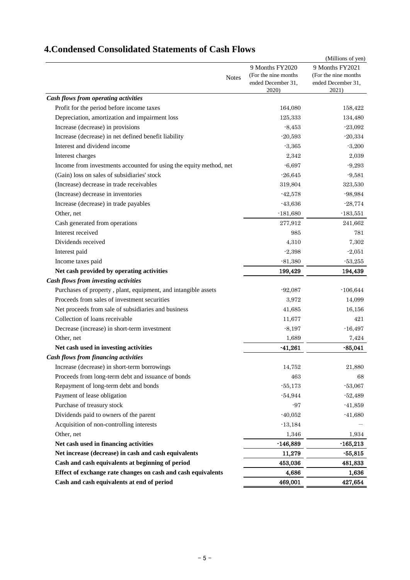## **4.Condensed Consolidated Statements of Cash Flows**

|                                                                    |              |                                                                        | (Millions of yen)                                                       |
|--------------------------------------------------------------------|--------------|------------------------------------------------------------------------|-------------------------------------------------------------------------|
|                                                                    | <b>Notes</b> | 9 Months FY2020<br>(For the nine months<br>ended December 31,<br>2020) | 9 Months FY2021<br>(For the nine months)<br>ended December 31,<br>2021) |
| Cash flows from operating activities                               |              |                                                                        |                                                                         |
| Profit for the period before income taxes                          |              | 164,080                                                                | 158,422                                                                 |
| Depreciation, amortization and impairment loss                     |              | 125,333                                                                | 134,480                                                                 |
| Increase (decrease) in provisions                                  |              | $-8,453$                                                               | $-23,092$                                                               |
| Increase (decrease) in net defined benefit liability               |              | $-20,593$                                                              | $-20,334$                                                               |
| Interest and dividend income                                       |              | $-3,365$                                                               | $-3,200$                                                                |
| Interest charges                                                   |              | 2,342                                                                  | 2,039                                                                   |
| Income from investments accounted for using the equity method, net |              | $-6,697$                                                               | $-9,293$                                                                |
| (Gain) loss on sales of subsidiaries' stock                        |              | $-26,645$                                                              | $-9,581$                                                                |
| (Increase) decrease in trade receivables                           |              | 319,804                                                                | 323,530                                                                 |
| (Increase) decrease in inventories                                 |              | $-42,578$                                                              | $-98,984$                                                               |
| Increase (decrease) in trade payables                              |              | $-43,636$                                                              | $-28,774$                                                               |
| Other, net                                                         |              | $-181,680$                                                             | $-183,551$                                                              |
| Cash generated from operations                                     |              | 277,912                                                                | 241,662                                                                 |
| Interest received                                                  |              | 985                                                                    | 781                                                                     |
| Dividends received                                                 |              | 4,310                                                                  | 7,302                                                                   |
| Interest paid                                                      |              | $-2,398$                                                               | $-2,051$                                                                |
| Income taxes paid                                                  |              | $-81,380$                                                              | $-53,255$                                                               |
| Net cash provided by operating activities                          |              | 199,429                                                                | 194,439                                                                 |
| Cash flows from investing activities                               |              |                                                                        |                                                                         |
| Purchases of property, plant, equipment, and intangible assets     |              | $-92,087$                                                              | $-106,644$                                                              |
| Proceeds from sales of investment securities                       |              | 3,972                                                                  | 14,099                                                                  |
| Net proceeds from sale of subsidiaries and business                |              | 41,685                                                                 | 16,156                                                                  |
| Collection of loans receivable                                     |              | 11,677                                                                 | 421                                                                     |
| Decrease (increase) in short-term investment                       |              | $-8,197$                                                               | $-16,497$                                                               |
| Other, net                                                         |              | 1,689                                                                  | 7,424                                                                   |
| Net cash used in investing activities                              |              | $-41,261$                                                              | $-85,041$                                                               |
| Cash flows from financing activities                               |              |                                                                        |                                                                         |
| Increase (decrease) in short-term borrowings                       |              | 14,752                                                                 | 21,880                                                                  |
| Proceeds from long-term debt and issuance of bonds                 |              | 463                                                                    | 68                                                                      |
| Repayment of long-term debt and bonds                              |              | $-55,173$                                                              | $-53,067$                                                               |
| Payment of lease obligation                                        |              | $-54,944$                                                              | $-52,489$                                                               |
| Purchase of treasury stock                                         |              | -97                                                                    | $-41,859$                                                               |
| Dividends paid to owners of the parent                             |              | $-40,052$                                                              | $-41,680$                                                               |
| Acquisition of non-controlling interests                           |              | $-13,184$                                                              |                                                                         |
| Other, net                                                         |              | 1,346                                                                  | 1,934                                                                   |
| Net cash used in financing activities                              |              | $-146,889$                                                             | $-165,213$                                                              |
| Net increase (decrease) in cash and cash equivalents               |              | 11,279                                                                 | $-55,815$                                                               |
| Cash and cash equivalents at beginning of period                   |              | 453,036                                                                | 481,833                                                                 |
| Effect of exchange rate changes on cash and cash equivalents       |              | 4,686                                                                  | 1,636                                                                   |
| Cash and cash equivalents at end of period                         |              | 469,001                                                                | 427,654                                                                 |